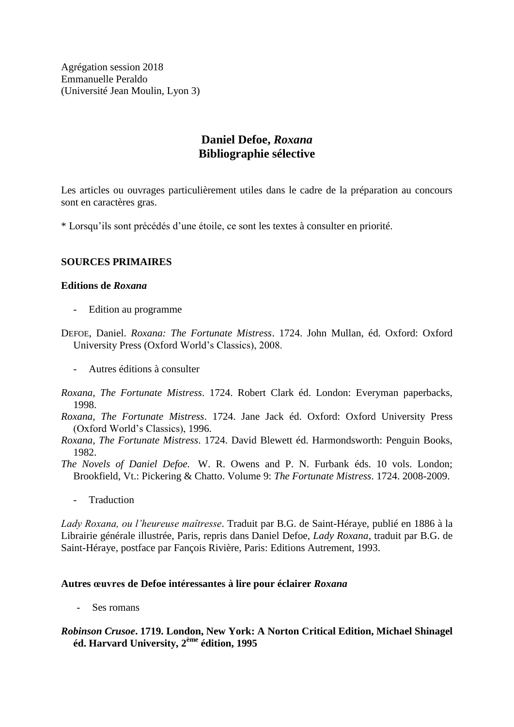Agrégation session 2018 Emmanuelle Peraldo (Université Jean Moulin, Lyon 3)

# **Daniel Defoe,** *Roxana* **Bibliographie sélective**

Les articles ou ouvrages particulièrement utiles dans le cadre de la préparation au concours sont en caractères gras.

\* Lorsqu'ils sont précédés d'une étoile, ce sont les textes à consulter en priorité.

### **SOURCES PRIMAIRES**

### **Editions de** *Roxana*

- Edition au programme
- DEFOE, Daniel. *Roxana: The Fortunate Mistress*. 1724. John Mullan, éd. Oxford: Oxford University Press (Oxford World's Classics), 2008.
	- Autres éditions à consulter
- *Roxana, The Fortunate Mistress*. 1724. Robert Clark éd. London: Everyman paperbacks, 1998.
- *Roxana, The Fortunate Mistress*. 1724. Jane Jack éd. Oxford: Oxford University Press (Oxford World's Classics), 1996.
- *Roxana, The Fortunate Mistress*. 1724. David Blewett éd. Harmondsworth: Penguin Books, 1982.

*The Novels of Daniel Defoe.* W. R. Owens and P. N. Furbank éds. 10 vols. London; Brookfield, Vt.: Pickering & Chatto. Volume 9: *The Fortunate Mistress*. 1724. 2008-2009.

- Traduction

*Lady Roxana, ou l'heureuse maîtresse*. Traduit par B.G. de Saint-Héraye, publié en 1886 à la Librairie générale illustrée, Paris, repris dans Daniel Defoe, *Lady Roxana*, traduit par B.G. de Saint-Héraye, postface par Fançois Rivière, Paris: Editions Autrement, 1993.

### **Autres œuvres de Defoe intéressantes à lire pour éclairer** *Roxana*

*-* Ses romans

### *Robinson Crusoe***. 1719. London, New York: A Norton Critical Edition, Michael Shinagel éd. Harvard University, 2ème édition, 1995**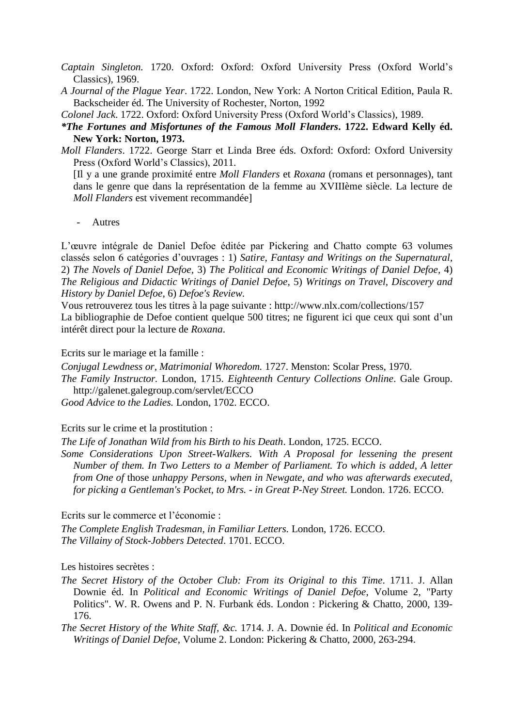- *Captain Singleton.* 1720. Oxford: Oxford: Oxford University Press (Oxford World's Classics), 1969.
- *A Journal of the Plague Year*. 1722. London, New York: A Norton Critical Edition, Paula R. Backscheider éd. The University of Rochester, Norton, 1992

*Colonel Jack*. 1722. Oxford: Oxford University Press (Oxford World's Classics), 1989.

- *\*The Fortunes and Misfortunes of the Famous Moll Flanders***. 1722. Edward Kelly éd. New York: Norton, 1973.**
- *Moll Flanders*. 1722. George Starr et Linda Bree éds. Oxford: Oxford: Oxford University Press (Oxford World's Classics), 2011.

[Il y a une grande proximité entre *Moll Flanders* et *Roxana* (romans et personnages), tant dans le genre que dans la représentation de la femme au XVIIIème siècle. La lecture de *Moll Flanders* est vivement recommandée]

*-* Autres

L'œuvre intégrale de Daniel Defoe éditée par Pickering and Chatto compte 63 volumes classés selon 6 catégories d'ouvrages : 1) *Satire, Fantasy and Writings on the Supernatural,* 2) *The Novels of Daniel Defoe,* 3) *The Political and Economic Writings of Daniel Defoe,* 4) *The Religious and Didactic Writings of Daniel Defoe,* 5) *Writings on Travel, Discovery and History by Daniel Defoe,* 6) *Defoe's Review.*

Vous retrouverez tous les titres à la page suivante : http://www.nlx.com/collections/157 La bibliographie de Defoe contient quelque 500 titres; ne figurent ici que ceux qui sont d'un intérêt direct pour la lecture de *Roxana*.

Ecrits sur le mariage et la famille :

*Conjugal Lewdness or, Matrimonial Whoredom.* 1727. Menston: Scolar Press, 1970.

*The Family Instructor.* London, 1715. *Eighteenth Century Collections Online*. Gale Group. http://galenet.galegroup.com/servlet/ECCO

*Good Advice to the Ladies.* London, 1702. ECCO.

Ecrits sur le crime et la prostitution :

*The Life of Jonathan Wild from his Birth to his Death*. London, 1725. ECCO.

*Some Considerations Upon Street-Walkers. With A Proposal for lessening the present Number of them. In Two Letters to a Member of Parliament. To which is added, A letter from One of* those *unhappy Persons, when in Newgate, and who was afterwards executed, for picking a Gentleman's Pocket, to Mrs. - in Great P-Ney Street.* London. 1726. ECCO.

Ecrits sur le commerce et l'économie :

*The Complete English Tradesman, in Familiar Letters.* London, 1726. ECCO. *The Villainy of Stock-Jobbers Detected*. 1701. ECCO.

Les histoires secrètes :

*The Secret History of the October Club: From its Original to this Time*. 1711. J. Allan Downie éd. In *Political and Economic Writings of Daniel Defoe*, Volume 2, "Party Politics". W. R. Owens and P. N. Furbank éds. London : Pickering & Chatto, 2000, 139- 176.

*The Secret History of the White Staff, &c.* 1714. J. A. Downie éd. In *Political and Economic Writings of Daniel Defoe*, Volume 2. London: Pickering & Chatto, 2000, 263-294.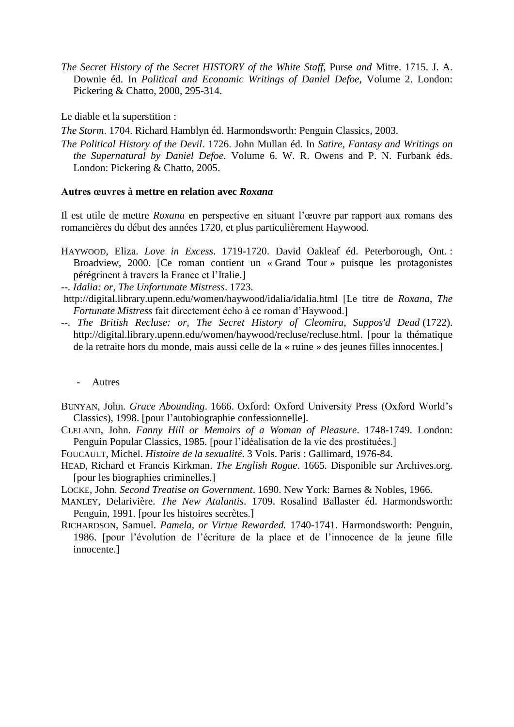*The Secret History of the Secret HISTORY of the White Staff,* Purse *and* Mitre. 1715. J. A. Downie éd. In *Political and Economic Writings of Daniel Defoe*, Volume 2. London: Pickering & Chatto, 2000, 295-314.

Le diable et la superstition :

*The Storm*. 1704. Richard Hamblyn éd. Harmondsworth: Penguin Classics, 2003.

*The Political History of the Devil*. 1726. John Mullan éd. In *Satire, Fantasy and Writings on the Supernatural by Daniel Defoe*. Volume 6. W. R. Owens and P. N. Furbank éds. London: Pickering & Chatto, 2005.

#### **Autres œuvres à mettre en relation avec** *Roxana*

Il est utile de mettre *Roxana* en perspective en situant l'œuvre par rapport aux romans des romancières du début des années 1720, et plus particulièrement Haywood.

HAYWOOD, Eliza. *Love in Excess*. 1719-1720. David Oakleaf éd. Peterborough, Ont. : Broadview, 2000. [Ce roman contient un « Grand Tour » puisque les protagonistes pérégrinent à travers la France et l'Italie.]

*--. Idalia: or, The Unfortunate Mistress*. 1723.

- <http://digital.library.upenn.edu/women/haywood/idalia/idalia.html> [Le titre de *Roxana, The Fortunate Mistress* fait directement écho à ce roman d'Haywood.]
- *--. The British Recluse: or, The Secret History of Cleomira, Suppos'd Dead* (1722). [http://digital.library.upenn.edu/women/haywood/recluse/recluse.html.](http://digital.library.upenn.edu/women/haywood/recluse/recluse.html) [pour la thématique de la retraite hors du monde, mais aussi celle de la « ruine » des jeunes filles innocentes.]
	- *-* Autres
- BUNYAN, John. *Grace Abounding*. 1666. Oxford: Oxford University Press (Oxford World's Classics), 1998. [pour l'autobiographie confessionnelle].
- CLELAND, John. *Fanny Hill or Memoirs of a Woman of Pleasure*. 1748-1749. London: Penguin Popular Classics, 1985. [pour l'idéalisation de la vie des prostituées.]
- FOUCAULT, Michel. *Histoire de la sexualité*. 3 Vols. Paris : Gallimard, 1976-84.
- HEAD, Richard et Francis Kirkman. *The English Rogue*. 1665. Disponible sur Archives.org. [pour les biographies criminelles.]
- LOCKE, John. *Second Treatise on Government*. 1690. New York: Barnes & Nobles, 1966.
- MANLEY, Delarivière. *The New Atalantis*. 1709. Rosalind Ballaster éd. Harmondsworth: Penguin, 1991. [pour les histoires secrètes.]
- RICHARDSON, Samuel. *Pamela, or Virtue Rewarded.* 1740-1741. Harmondsworth: Penguin, 1986. [pour l'évolution de l'écriture de la place et de l'innocence de la jeune fille innocente.]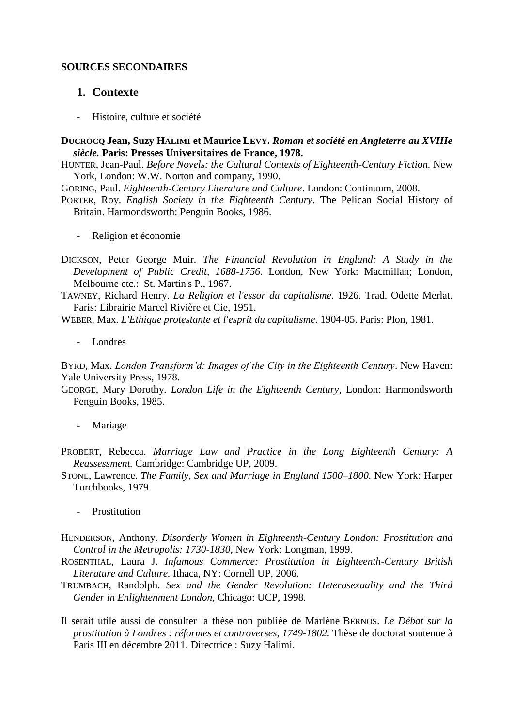### **SOURCES SECONDAIRES**

# **1. Contexte**

*-* Histoire, culture et société

### **DUCROCQ Jean, Suzy HALIMI et Maurice LEVY.** *Roman et société en Angleterre au XVIIIe siècle.* **Paris: Presses Universitaires de France, 1978.**

- HUNTER, Jean-Paul. *Before Novels: the Cultural Contexts of Eighteenth-Century Fiction.* New York, London: W.W. Norton and company, 1990.
- GORING, Paul. *Eighteenth-Century Literature and Culture*. London: Continuum, 2008.
- PORTER, Roy. *English Society in the Eighteenth Century*. The Pelican Social History of Britain. Harmondsworth: Penguin Books, 1986.
	- *-* Religion et économie
- DICKSON, Peter George Muir. *The Financial Revolution in England: A Study in the Development of Public Credit, 1688-1756*. London, New York: Macmillan; London, Melbourne etc.: St. Martin's P., 1967.
- TAWNEY, Richard Henry. *La Religion et l'essor du capitalisme*. 1926. Trad. Odette Merlat. Paris: Librairie Marcel Rivière et Cie, 1951.

WEBER, Max. *L'Ethique protestante et l'esprit du capitalisme*. 1904-05. Paris: Plon, 1981.

*-* Londres

BYRD, Max. *London Transform'd: Images of the City in the Eighteenth Century*. New Haven: Yale University Press, 1978.

GEORGE, Mary Dorothy. *London Life in the Eighteenth Century*, London: Harmondsworth Penguin Books, 1985.

- *-* Mariage
- PROBERT, Rebecca. *Marriage Law and Practice in the Long Eighteenth Century: A Reassessment.* Cambridge: Cambridge UP, 2009.
- STONE, Lawrence. *The Family, Sex and Marriage in England 1500–1800.* New York: Harper Torchbooks, 1979.
	- *-* Prostitution
- HENDERSON, Anthony. *Disorderly Women in Eighteenth-Century London: Prostitution and Control in the Metropolis: 1730-1830*, New York: Longman, 1999.
- ROSENTHAL, Laura J. *Infamous Commerce: Prostitution in Eighteenth-Century British Literature and Culture.* Ithaca, NY: Cornell UP, 2006.
- TRUMBACH, Randolph. *Sex and the Gender Revolution: Heterosexuality and the Third Gender in Enlightenment London*, Chicago: UCP, 1998.
- Il serait utile aussi de consulter la thèse non publiée de Marlène BERNOS. *Le Débat sur la prostitution à Londres : réformes et controverses, 1749-1802.* Thèse de doctorat soutenue à Paris III en décembre 2011. Directrice : Suzy Halimi.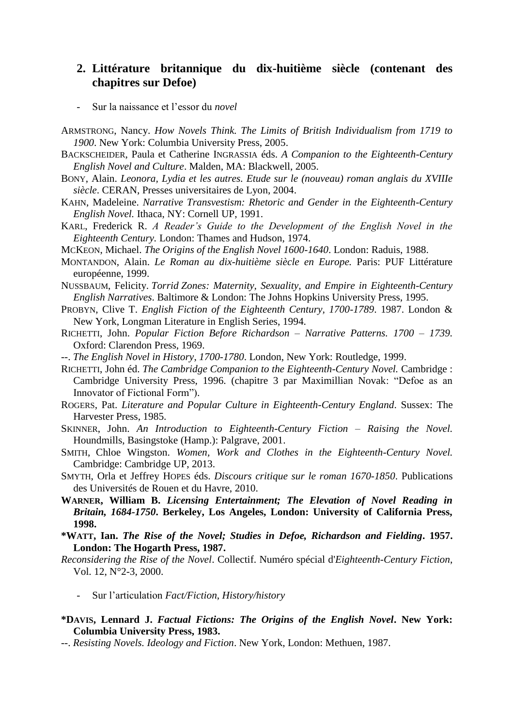# **2. Littérature britannique du dix-huitième siècle (contenant des chapitres sur Defoe)**

- *-* Sur la naissance et l'essor du *novel*
- ARMSTRONG, Nancy. *How Novels Think. The Limits of British Individualism from 1719 to 1900*. New York: Columbia University Press, 2005.
- BACKSCHEIDER, Paula et Catherine INGRASSIA éds. *A Companion to the Eighteenth-Century English Novel and Culture*. Malden, MA: Blackwell, 2005.
- BONY, Alain. *Leonora, Lydia et les autres. Etude sur le (nouveau) roman anglais du XVIIIe siècle*. CERAN, Presses universitaires de Lyon, 2004.
- KAHN, Madeleine. *Narrative Transvestism: Rhetoric and Gender in the Eighteenth-Century English Novel.* Ithaca, NY: Cornell UP, 1991.
- KARL, Frederick R. *A Reader's Guide to the Development of the English Novel in the Eighteenth Century.* London: Thames and Hudson, 1974.
- MCKEON, Michael. *The Origins of the English Novel 1600-1640*. London: Raduis, 1988.
- MONTANDON, Alain. *Le Roman au dix-huitième siècle en Europe.* Paris: PUF Littérature européenne, 1999.
- NUSSBAUM, Felicity. *Torrid Zones: Maternity, Sexuality, and Empire in Eighteenth-Century English Narratives*. Baltimore & London: The Johns Hopkins University Press, 1995.
- PROBYN, Clive T. *English Fiction of the Eighteenth Century, 1700-1789*. 1987. London & New York, Longman Literature in English Series, 1994.
- RICHETTI, John. *Popular Fiction Before Richardson – Narrative Patterns. 1700 – 1739.* Oxford: Clarendon Press, 1969.
- --. *The English Novel in History*, *1700-1780*. London, New York: Routledge, 1999.
- RICHETTI, John éd. *The Cambridge Companion to the Eighteenth-Century Novel.* Cambridge : Cambridge University Press, 1996. (chapitre 3 par Maximillian Novak: "Defoe as an Innovator of Fictional Form").
- ROGERS, Pat. *Literature and Popular Culture in Eighteenth-Century England*. Sussex: The Harvester Press, 1985.
- SKINNER, John. *An Introduction to Eighteenth-Century Fiction – Raising the Novel.* Houndmills, Basingstoke (Hamp.): Palgrave, 2001.
- SMITH, Chloe Wingston. *Women, Work and Clothes in the Eighteenth-Century Novel.* Cambridge: Cambridge UP, 2013.
- SMYTH, Orla et Jeffrey HOPES éds. *Discours critique sur le roman 1670-1850*. Publications des Universités de Rouen et du Havre, 2010.
- **WARNER, William B.** *Licensing Entertainment; The Elevation of Novel Reading in Britain, 1684-1750***. Berkeley, Los Angeles, London: University of California Press, 1998.**
- **\*WATT, Ian.** *The Rise of the Novel; Studies in Defoe, Richardson and Fielding***. 1957. London: The Hogarth Press, 1987.**
- *Reconsidering the Rise of the Novel*. Collectif. Numéro spécial d'*Eighteenth-Century Fiction*, Vol. 12, N°2-3, 2000.
	- *-* Sur l'articulation *Fact/Fiction*, *History/history*
- **\*DAVIS, Lennard J.** *Factual Fictions: The Origins of the English Novel***. New York: Columbia University Press, 1983.**
- --. *Resisting Novels. Ideology and Fiction*. New York, London: Methuen, 1987.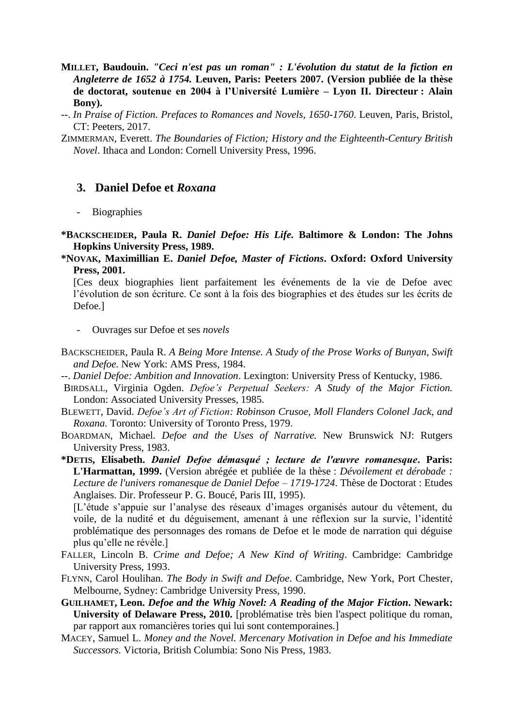- **MILLET, Baudouin.** *"Ceci n'est pas un roman" : L'évolution du statut de la fiction en Angleterre de 1652 à 1754.* **Leuven, Paris: Peeters 2007. (Version publiée de la thèse de doctorat, soutenue en 2004 à l'Université Lumière – Lyon II. Directeur : Alain Bony).**
- --. *In Praise of Fiction. Prefaces to Romances and Novels, 1650-1760*. Leuven, Paris, Bristol, CT: Peeters, 2017.
- ZIMMERMAN, Everett. *The Boundaries of Fiction; History and the Eighteenth-Century British Novel*. Ithaca and London: Cornell University Press, 1996.

## **3. Daniel Defoe et** *Roxana*

- *-* Biographies
- **\*BACKSCHEIDER, Paula R.** *Daniel Defoe: His Life.* **Baltimore & London: The Johns Hopkins University Press, 1989.**
- **\*NOVAK, Maximillian E.** *Daniel Defoe, Master of Fictions***. Oxford: Oxford University Press, 2001.**

[Ces deux biographies lient parfaitement les événements de la vie de Defoe avec l'évolution de son écriture. Ce sont à la fois des biographies et des études sur les écrits de Defoe.]

- *-* Ouvrages sur Defoe et ses *novels*
- BACKSCHEIDER, Paula R. *A Being More Intense. A Study of the Prose Works of Bunyan, Swift and Defoe.* New York: AMS Press, 1984.
- --. *Daniel Defoe: Ambition and Innovation*. Lexington: University Press of Kentucky, 1986.
- BIRDSALL, Virginia Ogden. *Defoe's Perpetual Seekers: A Study of the Major Fiction.* London: Associated University Presses, 1985.
- BLEWETT, David. *Defoe's Art of Fiction: Robinson Crusoe, Moll Flanders Colonel Jack, and Roxana.* Toronto: University of Toronto Press, 1979.

BOARDMAN, Michael. *Defoe and the Uses of Narrative.* New Brunswick NJ: Rutgers University Press, 1983.

**\*DETIS, Elisabeth.** *Daniel Defoe démasqué ; lecture de l'œuvre romanesque***. Paris: L'Harmattan, 1999.** (Version abrégée et publiée de la thèse : *Dévoilement et dérobade : Lecture de l'univers romanesque de Daniel Defoe – 1719-1724*. Thèse de Doctorat : Etudes Anglaises. Dir. Professeur P. G. Boucé, Paris III, 1995).

[L'étude s'appuie sur l'analyse des réseaux d'images organisés autour du vêtement, du voile, de la nudité et du déguisement, amenant à une réflexion sur la survie, l'identité problématique des personnages des romans de Defoe et le mode de narration qui déguise plus qu'elle ne révèle.]

- FALLER, Lincoln B. *Crime and Defoe; A New Kind of Writing*. Cambridge: Cambridge University Press, 1993.
- FLYNN, Carol Houlihan. *The Body in Swift and Defoe*. Cambridge, New York, Port Chester, Melbourne, Sydney: Cambridge University Press, 1990.
- **GUILHAMET, Leon.** *Defoe and the Whig Novel: A Reading of the Major Fiction***. Newark: University of Delaware Press, 2010.** [problématise très bien l'aspect politique du roman, par rapport aux romancières tories qui lui sont contemporaines.]
- MACEY, Samuel L. *Money and the Novel. Mercenary Motivation in Defoe and his Immediate Successors.* Victoria, British Columbia: Sono Nis Press, 1983.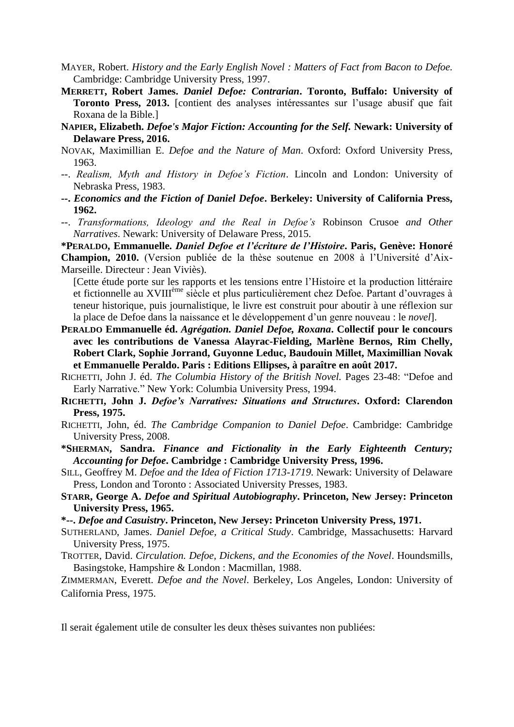- MAYER, Robert. *History and the Early English Novel : Matters of Fact from Bacon to Defoe.* Cambridge: Cambridge University Press, 1997.
- **MERRETT, Robert James.** *Daniel Defoe: Contrarian***. Toronto, Buffalo: University of Toronto Press, 2013.** [contient des analyses intéressantes sur l'usage abusif que fait Roxana de la Bible.]
- **NAPIER, Elizabeth.** *Defoe's Major Fiction: Accounting for the Self.* **Newark: University of Delaware Press, 2016.**
- NOVAK, Maximillian E. *Defoe and the Nature of Man*. Oxford: Oxford University Press, 1963.
- --. *Realism, Myth and History in Defoe's Fiction*. Lincoln and London: University of Nebraska Press, 1983.
- **--.** *Economics and the Fiction of Daniel Defoe***. Berkeley: University of California Press, 1962.**
- --. *Transformations, Ideology and the Real in Defoe's* Robinson Crusoe *and Other Narratives*. Newark: University of Delaware Press, 2015.

**\*PERALDO, Emmanuelle.** *Daniel Defoe et l'écriture de l'Histoire***. Paris, Genève: Honoré Champion, 2010.** (Version publiée de la thèse soutenue en 2008 à l'Université d'Aix-Marseille. Directeur : Jean Viviès).

[Cette étude porte sur les rapports et les tensions entre l'Histoire et la production littéraire et fictionnelle au XVIIIème siècle et plus particulièrement chez Defoe. Partant d'ouvrages à teneur historique, puis journalistique, le livre est construit pour aboutir à une réflexion sur la place de Defoe dans la naissance et le développement d'un genre nouveau : le *novel*].

- **PERALDO Emmanuelle éd.** *Agrégation. Daniel Defoe, Roxana***. Collectif pour le concours avec les contributions de Vanessa Alayrac-Fielding, Marlène Bernos, Rim Chelly, Robert Clark, Sophie Jorrand, Guyonne Leduc, Baudouin Millet, Maximillian Novak et Emmanuelle Peraldo. Paris : Editions Ellipses, à paraître en août 2017.**
- RICHETTI, John J. éd. *The Columbia History of the British Novel.* Pages 23-48: "Defoe and Early Narrative." New York: Columbia University Press, 1994.
- **RICHETTI, John J.** *Defoe's Narratives: Situations and Structures***. Oxford: Clarendon Press, 1975.**
- RICHETTI, John, éd. *The Cambridge Companion to Daniel Defoe*. Cambridge: Cambridge University Press, 2008.
- **\*SHERMAN, Sandra.** *Finance and Fictionality in the Early Eighteenth Century; Accounting for Defoe***. Cambridge : Cambridge University Press, 1996.**
- SILL, Geoffrey M. *Defoe and the Idea of Fiction 1713-1719*. Newark: University of Delaware Press, London and Toronto : Associated University Presses, 1983.
- **STARR, George A.** *Defoe and Spiritual Autobiography***. Princeton, New Jersey: Princeton University Press, 1965.**
- **\*--.** *Defoe and Casuistry***. Princeton, New Jersey: Princeton University Press, 1971.**
- SUTHERLAND, James. *Daniel Defoe, a Critical Study*. Cambridge, Massachusetts: Harvard University Press, 1975.
- TROTTER, David. *Circulation. Defoe, Dickens, and the Economies of the Novel*. Houndsmills, Basingstoke, Hampshire & London : Macmillan, 1988.

ZIMMERMAN, Everett. *Defoe and the Novel*. Berkeley, Los Angeles, London: University of California Press, 1975.

Il serait également utile de consulter les deux thèses suivantes non publiées: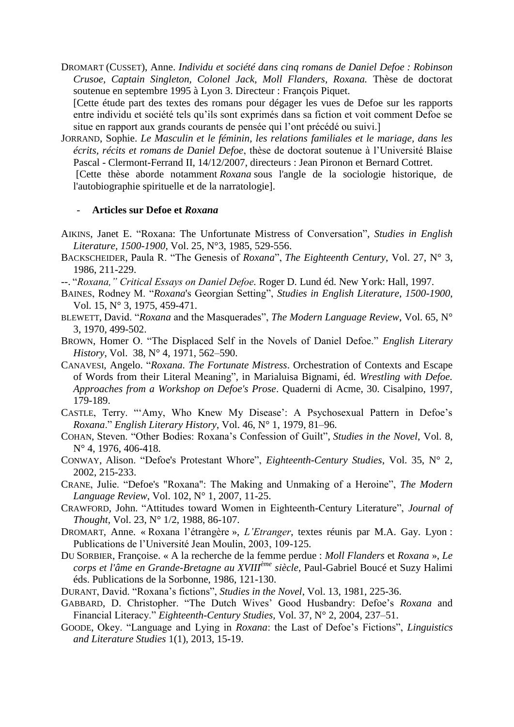DROMART (CUSSET), Anne. *Individu et société dans cinq romans de Daniel Defoe : Robinson Crusoe, Captain Singleton, Colonel Jack, Moll Flanders, Roxana.* Thèse de doctorat soutenue en septembre 1995 à Lyon 3. Directeur : François Piquet.

[Cette étude part des textes des romans pour dégager les vues de Defoe sur les rapports entre individu et société tels qu'ils sont exprimés dans sa fiction et voit comment Defoe se situe en rapport aux grands courants de pensée qui l'ont précédé ou suivi.]

JORRAND, Sophie. *Le Masculin et le féminin, les relations familiales et le mariage, dans les écrits, récits et romans de Daniel Defoe*, thèse de doctorat soutenue à l'Université Blaise Pascal - Clermont-Ferrand II, 14/12/2007, directeurs : Jean Pironon et Bernard Cottret.

[Cette thèse aborde notamment *Roxana* sous l'angle de la sociologie historique, de l'autobiographie spirituelle et de la narratologie].

#### *-* **Articles sur Defoe et** *Roxana*

- AIKINS, Janet E. "Roxana: The Unfortunate Mistress of Conversation", *Studies in English Literature, 1500-1900*, Vol. 25, N°3, 1985, 529-556.
- BACKSCHEIDER, Paula R. "The Genesis of *Roxana*", *The Eighteenth Century*, Vol. 27, N° 3, 1986, 211-229.
- --. "*Roxana," Critical Essays on Daniel Defoe.* Roger D. Lund éd. New York: Hall, 1997.
- BAINES, Rodney M. "*Roxana*'s Georgian Setting", *Studies in English Literature, 1500-1900*, Vol. 15, N° 3, 1975, 459-471.
- BLEWETT, David. "*Roxana* and the Masquerades", *The Modern Language Review*, Vol. 65, N° 3, 1970, 499-502.
- BROWN, Homer O. "The Displaced Self in the Novels of Daniel Defoe." *English Literary History*, Vol. 38, N° 4, 1971, 562–590.
- CANAVESI, Angelo. "*Roxana. The Fortunate Mistress*. Orchestration of Contexts and Escape of Words from their Literal Meaning", in Marialuisa Bignami, éd. *Wrestling with Defoe. Approaches from a Workshop on Defoe's Prose*. Quaderni di Acme, 30. Cisalpino, 1997, 179-189.
- CASTLE, Terry. "'Amy, Who Knew My Disease': A Psychosexual Pattern in Defoe's *Roxana*." *English Literary History*, Vol. 46, N° 1, 1979, 81–96.
- COHAN, Steven. "Other Bodies: Roxana's Confession of Guilt", *Studies in the Novel*, Vol. 8, N° 4, 1976, 406-418.
- CONWAY, Alison. "Defoe's Protestant Whore", *Eighteenth-Century Studies*, Vol. 35, N° 2, 2002, 215-233.
- CRANE, Julie. "Defoe's "Roxana": The Making and Unmaking of a Heroine", *The Modern Language Review*, Vol. 102, N° 1, 2007, 11-25.
- CRAWFORD, John. "Attitudes toward Women in Eighteenth-Century Literature", *Journal of Thought*, Vol. 23, N° 1/2, 1988, 86-107.
- DROMART, Anne. « Roxana l'étrangère », *L'Etranger*, textes réunis par M.A. Gay. Lyon : Publications de l'Université Jean Moulin, 2003, 109-125.
- DU SORBIER, Françoise. « A la recherche de la femme perdue : *Moll Flanders* et *Roxana* », *Le corps et l'âme en Grande-Bretagne au XVIIIème siècle*, Paul-Gabriel Boucé et Suzy Halimi éds. Publications de la Sorbonne, 1986, 121-130.
- DURANT, David. "Roxana's fictions", *Studies in the Novel*, Vol. 13, 1981, 225-36.
- GABBARD, D. Christopher. "The Dutch Wives' Good Husbandry: Defoe's *Roxana* and Financial Literacy." *Eighteenth-Century Studies,* Vol. 37, N° 2, 2004, 237–51.
- GOODE, Okey. "Language and Lying in *Roxana*: the Last of Defoe's Fictions", *Linguistics and Literature Studies* 1(1), 2013, 15-19.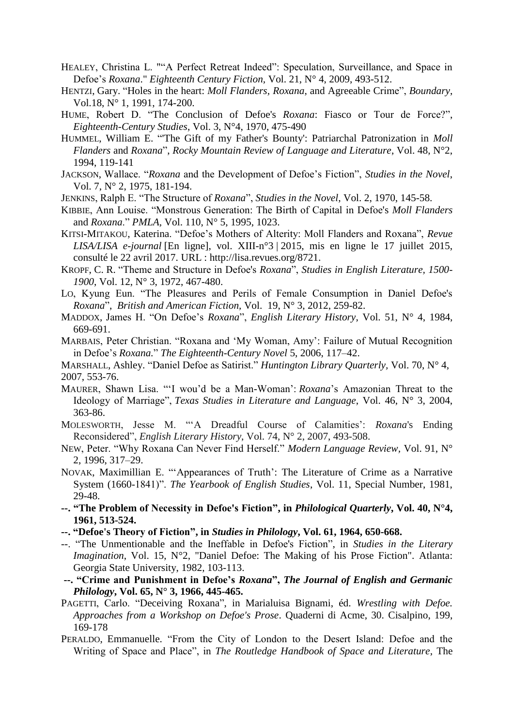- HEALEY, Christina L. ""A Perfect Retreat Indeed": Speculation, Surveillance, and Space in Defoe's *Roxana*." *Eighteenth Century Fiction,* Vol. 21, N° 4, 2009, 493-512.
- HENTZI, Gary. "Holes in the heart: *Moll Flanders, Roxana*, and Agreeable Crime", *Boundary*, Vol.18, N° 1, 1991, 174-200.
- HUME, Robert D. "The Conclusion of Defoe's *Roxana*: Fiasco or Tour de Force?", *Eighteenth-Century Studies*, Vol. 3, N°4, 1970, 475-490
- HUMMEL, William E. "'The Gift of my Father's Bounty': Patriarchal Patronization in *Moll Flanders* and *Roxana*", *Rocky Mountain Review of Language and Literature*, Vol. 48, N°2, 1994, 119-141
- JACKSON, Wallace. "*Roxana* and the Development of Defoe's Fiction", *Studies in the Novel*, Vol. 7, N° 2, 1975, 181-194.
- JENKINS, Ralph E. "The Structure of *Roxana*", *Studies in the Novel*, Vol. 2, 1970, 145-58.
- KIBBIE, Ann Louise. "Monstrous Generation: The Birth of Capital in Defoe's *Moll Flanders*  and *Roxana*." *PMLA,* Vol. 110, N° 5, 1995, 1023.
- KITSI-MITAKOU, Katerina. "Defoe's Mothers of Alterity: Moll Flanders and Roxana", *Revue LISA/LISA e-journal* [En ligne], vol. XIII-n°3 | 2015, mis en ligne le 17 juillet 2015, consulté le 22 avril 2017. URL : http://lisa.revues.org/8721.
- KROPF, C. R. "Theme and Structure in Defoe's *Roxana*", *Studies in English Literature, 1500- 1900*, Vol. 12, N° 3, 1972, 467-480.
- LO, Kyung Eun. "The Pleasures and Perils of Female Consumption in Daniel Defoe's *Roxana*", *British and American Fiction,* Vol.19, N° 3, 2012, 259-82.
- MADDOX, James H. "On Defoe's *Roxana*", *English Literary History*, Vol. 51, N° 4, 1984, 669-691.
- MARBAIS, Peter Christian. "Roxana and 'My Woman, Amy': Failure of Mutual Recognition in Defoe's *Roxana.*" *The Eighteenth-Century Novel* 5, 2006, 117–42.
- MARSHALL, Ashley. "Daniel Defoe as Satirist." *Huntington Library Quarterly,* Vol. 70, N° 4, 2007, 553-76.
- MAURER, Shawn Lisa. "'I wou'd be a Man-Woman': *Roxana*'s Amazonian Threat to the Ideology of Marriage", *Texas Studies in Literature and Language*, Vol. 46, N° 3, 2004, 363-86.
- MOLESWORTH, Jesse M. "'A Dreadful Course of Calamities': *Roxana*'s Ending Reconsidered", *English Literary History*, Vol. 74, N° 2, 2007, 493-508.
- NEW, Peter. "Why Roxana Can Never Find Herself." *Modern Language Review,* Vol. 91, N° 2, 1996, 317–29.
- NOVAK, Maximillian E. "'Appearances of Truth': The Literature of Crime as a Narrative System (1660-1841)". *The Yearbook of English Studies*, Vol. 11, Special Number, 1981, 29-48.
- **--. "The Problem of Necessity in Defoe's Fiction", in** *Philological Quarterly***, Vol. 40, N°4, 1961, 513-524.**
- **--. "Defoe's Theory of Fiction", in** *Studies in Philology***, Vol. 61, 1964, 650-668.**
- --. "The Unmentionable and the Ineffable in Defoe's Fiction", in *Studies in the Literary Imagination*, Vol. 15, N°2, "Daniel Defoe: The Making of his Prose Fiction". Atlanta: Georgia State University, 1982, 103-113.
- **--. "Crime and Punishment in Defoe's** *Roxana***",** *The Journal of English and Germanic Philology***, Vol. 65, N° 3, 1966, 445-465.**
- PAGETTI, Carlo. "Deceiving Roxana", in Marialuisa Bignami, éd. *Wrestling with Defoe. Approaches from a Workshop on Defoe's Prose*. Quaderni di Acme, 30. Cisalpino, 199, 169-178
- PERALDO, Emmanuelle. "From the City of London to the Desert Island: Defoe and the Writing of Space and Place", in *The Routledge Handbook of Space and Literature*, The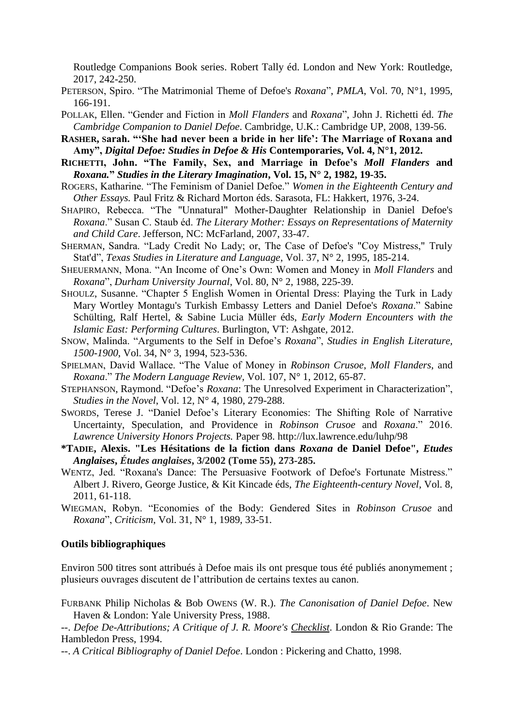Routledge Companions Book series. Robert Tally éd. London and New York: Routledge, 2017, 242-250.

- PETERSON, Spiro. "The Matrimonial Theme of Defoe's *Roxana*", *PMLA*, Vol. 70, N°1, 1995, 166-191.
- POLLAK, Ellen. "Gender and Fiction in *Moll Flanders* and *Roxana*", John J. Richetti éd. *The Cambridge Companion to Daniel Defoe*. Cambridge, U.K.: Cambridge UP, 2008, 139-56.
- **RASHER, Sarah. "'She had never been a bride in her life': The Marriage of Roxana and Amy",** *Digital Defoe: Studies in Defoe & His* **Contemporaries, Vol. 4, N°1, 2012.**
- **RICHETTI, John. "The Family, Sex, and Marriage in Defoe's** *Moll Flanders* **and** *Roxana.***"** *Studies in the Literary Imagination***, Vol. 15, N° 2, 1982, 19-35.**
- ROGERS, Katharine. "The Feminism of Daniel Defoe." *Women in the Eighteenth Century and Other Essays.* Paul Fritz & Richard Morton éds. Sarasota, FL: Hakkert, 1976, 3-24.
- SHAPIRO, Rebecca. "The "Unnatural" Mother-Daughter Relationship in Daniel Defoe's *Roxana*." Susan C. Staub éd. *The Literary Mother: Essays on Representations of Maternity and Child Care*. Jefferson, NC: McFarland, 2007, 33-47.
- SHERMAN, Sandra. "Lady Credit No Lady; or, The Case of Defoe's "Coy Mistress," Truly Stat'd", *Texas Studies in Literature and Language*, Vol. 37, N° 2, 1995, 185-214.
- SHEUERMANN, Mona. "An Income of One's Own: Women and Money in *Moll Flanders* and *Roxana*", *Durham University Journal*, Vol. 80, N° 2, 1988, 225-39.
- SHOULZ, Susanne. "Chapter 5 English Women in Oriental Dress: Playing the Turk in Lady Mary Wortley Montagu's Turkish Embassy Letters and Daniel Defoe's *Roxana*." Sabine Schülting, Ralf Hertel, & Sabine Lucia Müller éds, *Early Modern Encounters with the Islamic East: Performing Cultures*. Burlington, VT: Ashgate, 2012.
- SNOW, Malinda. "Arguments to the Self in Defoe's *Roxana*", *Studies in English Literature, 1500-1900*, Vol. 34, N° 3, 1994, 523-536.
- SPIELMAN, David Wallace. "The Value of Money in *Robinson Crusoe*, *Moll Flanders*, and *Roxana*." *The Modern Language Review,* Vol. 107, N° 1, 2012, 65-87.
- STEPHANSON, Raymond. "Defoe's *Roxana*: The Unresolved Experiment in Characterization", *Studies in the Novel*, Vol. 12, N° 4, 1980, 279-288.
- SWORDS, Terese J. "Daniel Defoe's Literary Economies: The Shifting Role of Narrative Uncertainty, Speculation, and Providence in *Robinson Crusoe* and *Roxana*." 2016. *Lawrence University Honors Projects.* Paper 98.<http://lux.lawrence.edu/luhp/98>
- **\*TADIE, Alexis. "Les Hésitations de la fiction dans** *Roxana* **de Daniel Defoe",** *Etudes Anglaises***,** *Études anglaises***, 3/2002 (Tome 55), 273-285.**
- WENTZ, Jed. "Roxana's Dance: The Persuasive Footwork of Defoe's Fortunate Mistress." Albert J. Rivero, George Justice, & Kit Kincade éds, *The Eighteenth-century Novel,* Vol. 8, 2011, 61-118.
- WIEGMAN, Robyn. "Economies of the Body: Gendered Sites in *Robinson Crusoe* and *Roxana*", *Criticism*, Vol. 31, N° 1, 1989, 33-51.

#### **Outils bibliographiques**

Environ 500 titres sont attribués à Defoe mais ils ont presque tous été publiés anonymement ; plusieurs ouvrages discutent de l'attribution de certains textes au canon.

FURBANK Philip Nicholas & Bob OWENS (W. R.). *The Canonisation of Daniel Defoe*. New Haven & London: Yale University Press, 1988.

--. *Defoe De-Attributions; A Critique of J. R. Moore's Checklist*. London & Rio Grande: The Hambledon Press, 1994.

--. *A Critical Bibliography of Daniel Defoe*. London : Pickering and Chatto, 1998.